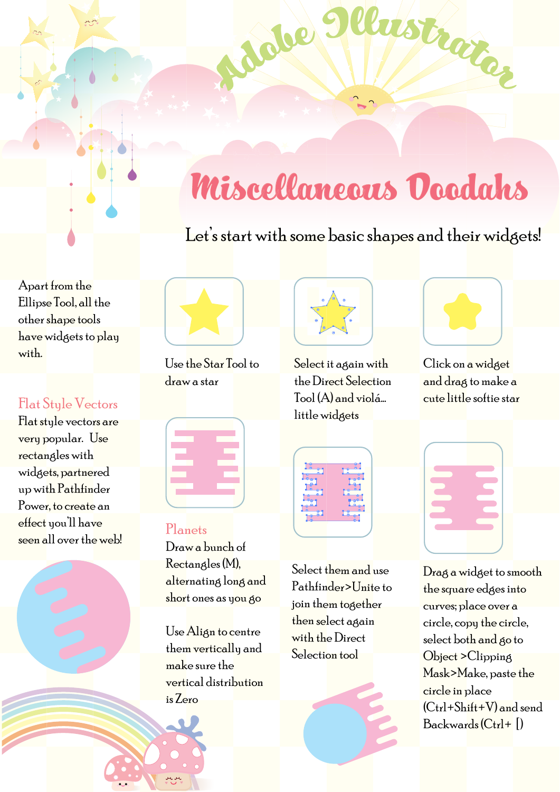# Miscellaneous Doodahs

mst

## Let's start with some basic shapes and their widgets!

Apart from the Ellipse Tool, all the other shape tools have widgets to play with.

### Flat Style Vectors

Flat style vectors are very popular. Use rectangles with widgets, partnered up with Pathfinder Power, to create an effect you'll have seen all over the web!



Use the Star Tool to draw a star



#### Planets

Draw a bunch of Rectangles (M), alternating long and short ones as you go

Use Align to centre them vertically and make sure the vertical distribution is Zero



Jobe

Select it again with the Direct Selection Tool (A) and violá... little widgets

aitaz

Click on a widget and drag to make a cute little softie star

| -6            |  |
|---------------|--|
| $\frac{1}{2}$ |  |
|               |  |
|               |  |

Select them and use Pathfinder>Unite to join them together then select again with the Direct Selection tool

Drag a widget to smooth the square edges into curves; place over a circle, copy the circle, select both and go to Object >Clipping Mask>Make, paste the circle in place  $(C<sub>tr</sub>] + Sh<sub>if</sub>t + V)$  and send  $Backwards (Ctrl + \lceil)$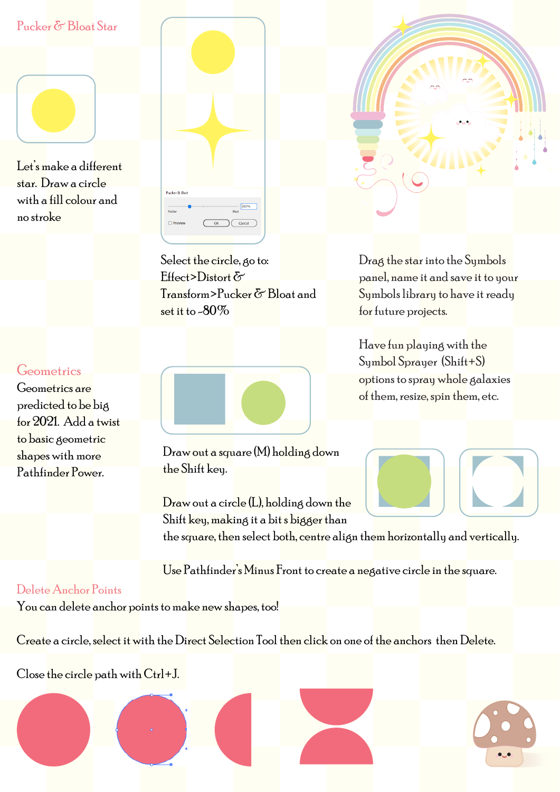#### Pucker & Bloat Star

Let's make a different star. Draw a circle with a fill colour and no stroke

#### Geometrics

Geometrics are predicted to be big for 2021. Add a twist to basic geometric shapes with more Pathfinder Power.

| Pucker & Bloat                                                      |  |
|---------------------------------------------------------------------|--|
| $ \sqrt{80\%}$<br>Bloat<br>Pucker<br>$\Box$ Preview<br>OK<br>Cancel |  |
|                                                                     |  |

Select the circle, go to: Effect>Distort & Transform>Pucker & Bloat and set it to -80%



Draw out a square (M) holding down the Shift key.

Draw out a circle (L), holding down the Shift key, making it a bit s bigger than

the square, then select both, centre align them horizontally and vertically.

Use Pathfinder's Minus Front to create a negative circle in the square.

#### Delete Anchor Points

You can delete anchor points to make new shapes, too!

Create a circle, select it with the Direct Selection Tool then click on one of the anchors then Delete.

Close the circle path with Ctrl+J.



Drag the star into the Symbols panel, name it and save it to your Symbols library to have it ready for future projects.

Have fun playing with the Symbol Sprayer (Shift+S) options to spray whole galaxies of them, resize, spin them, etc.



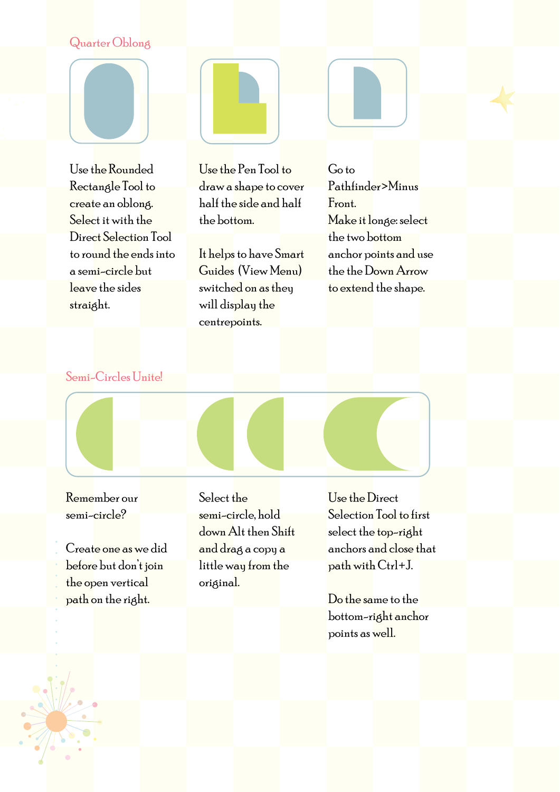#### Quarter Oblong

Use the Rounded Rectangle Tool to create an oblong. Select it with the Direct Selection Tool to round the ends into a semi-circle but leave the sides straight.



Use the Pen Tool to draw a shape to cover half the side and half the bottom.

It helps to have Smart Guides (View Menu) switched on as they will display the centrepoints.

Go to Pathfinder>Minus Front. Make it longe: select the two bottom anchor points and use the the Down Arrow to extend the shape.

Semi-Circles Unite!

Remember our semi-circle?

Create one as we did before but don't join the open vertical path on the right.

Select the semi-circle, hold down Alt then Shift and drag a copy a little way from the original.

Use the Direct Selection Tool to first select the top-right anchors and close that path with Ctrl+J.

Do the same to the bottom-right anchor points as well.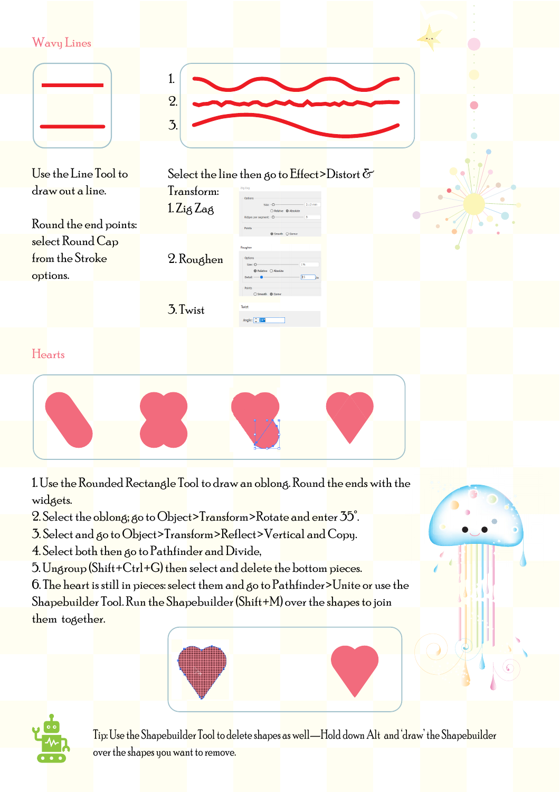

- 3. Select and go to Object>Transform>Reflect>Vertical and Copy.
- 4. Select both then go to Pathfinder and Divide,
- 5. Ungroup (Shift+Ctrl+G) then select and delete the bottom pieces.

6. The heart is still in pieces: select them and go to  $P$ athfinder>Unite or use the Shapebuilder Tool. Run the Shapebuilder (Shift+M) over the shapes to join them together.





Tip: Use the Shapebuilder Tool to delete shapes as well—Hold down Alt and 'draw' the Shapebuilder over the shapes you want to remove.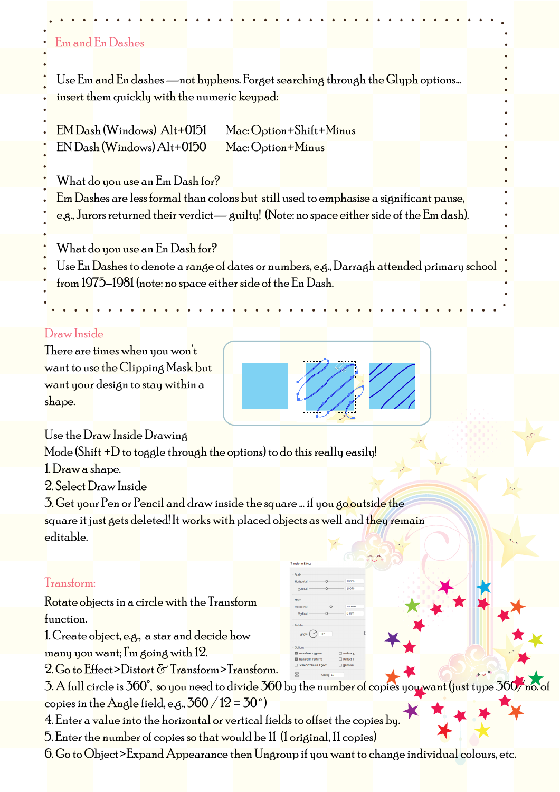## Use Em and En dashes —not hyphens. Forget searching through the Glyph options... insert them quickly with the numeric keypad: EM Dash (Windows) Alt+0151 Mac: Option+Shift+Minus EN Dash (Windows) Alt+0150 Mac: Option+Minus What do you use an Em Dash for? Em Dashes are less formal than colons but still used to emphasise a significant pause, e.g., Jurors returned their verdict—  $\delta$ uilty! (Note: no space either side of the  $Em$  dash). What do you use an En Dash for? Use En Dashes to denote a range of dates or numbers, e.g., Darragh attended primary school from 1975–1981 (note: no space either side of the En Dash. Em and En Dashes Draw Inside There are times when you won't want to use the Clipping Mask but want your design to stay within a shape. Use the Draw Inside Drawing Mode (Shift  $+D$  to toggle through the options) to do this really easily! 1. Draw a shape. 2. Select Draw Inside 3. Get your Pen or Pencil and draw inside the square ... if you go outside the square it just gets deleted! It works with placed objects as well and they remain editable. Transform:

Rotate objects in a circle with the Transform function.

1. Create object, e.g., a star and decide how many you want; I'm going with 12.

2. Go to Effect>Distort & Transform>Transform.

 $3. A$  full circle is  $360^\circ$ , so you need to divide  $360$  by the number of copies you want (just type  $360/$ copies in the Angle field, e.g.,  $360 / 12 = 30°$ 

4. Enter a value into the horizontal or vertical fields to offset the copies by.

5. Enter the number of copies so that would be 11 (1 original, 11 copies)

6. Go to Object>Expand Appearance then Ungroup if you want to change individual colours, etc.